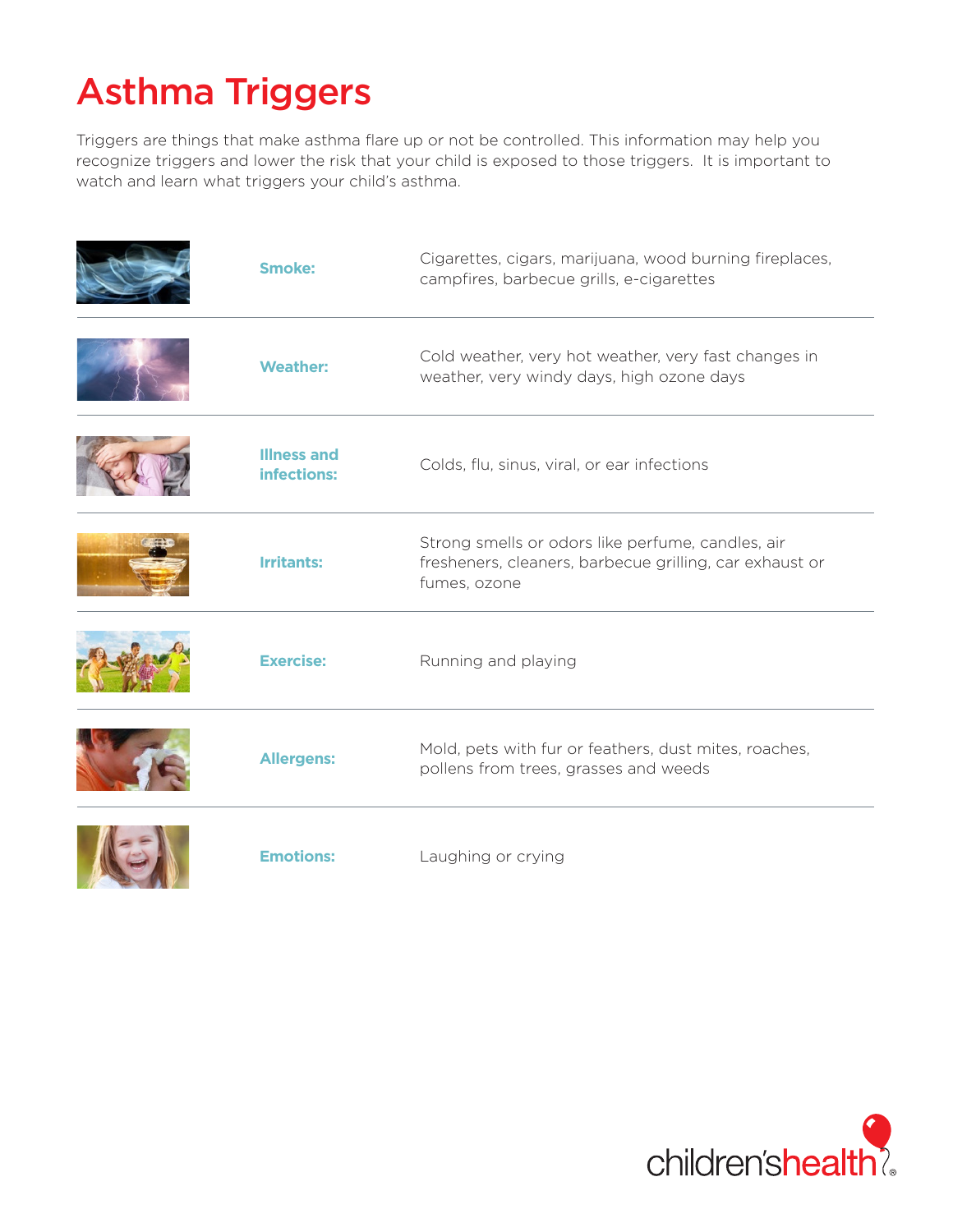# Asthma Triggers

Triggers are things that make asthma flare up or not be controlled. This information may help you recognize triggers and lower the risk that your child is exposed to those triggers. It is important to watch and learn what triggers your child's asthma.

| Smoke:                            | Cigarettes, cigars, marijuana, wood burning fireplaces,<br>campfires, barbecue grills, e-cigarettes                          |
|-----------------------------------|------------------------------------------------------------------------------------------------------------------------------|
| <b>Weather:</b>                   | Cold weather, very hot weather, very fast changes in<br>weather, very windy days, high ozone days                            |
| <b>Illness and</b><br>infections: | Colds, flu, sinus, viral, or ear infections                                                                                  |
| <b>Irritants:</b>                 | Strong smells or odors like perfume, candles, air<br>fresheners, cleaners, barbecue grilling, car exhaust or<br>fumes, ozone |
| <b>Exercise:</b>                  | Running and playing                                                                                                          |
| <b>Allergens:</b>                 | Mold, pets with fur or feathers, dust mites, roaches,<br>pollens from trees, grasses and weeds                               |
| <b>Emotions:</b>                  | Laughing or crying                                                                                                           |

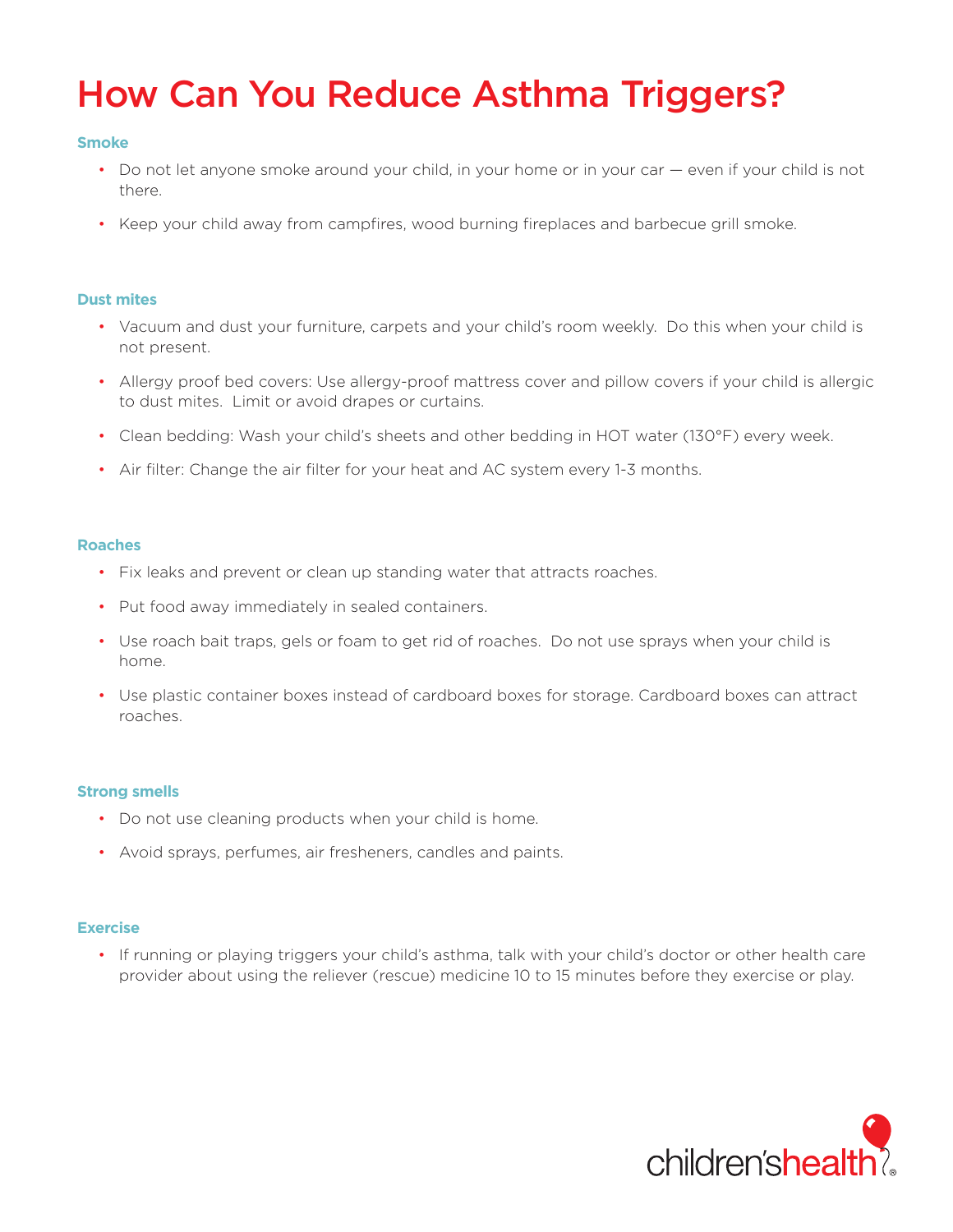## How Can You Reduce Asthma Triggers?

## **Smoke**

- Do not let anyone smoke around your child, in your home or in your car even if your child is not there.
- Keep your child away from campfires, wood burning fireplaces and barbecue grill smoke.

## **Dust mites**

- Vacuum and dust your furniture, carpets and your child's room weekly. Do this when your child is not present.
- Allergy proof bed covers: Use allergy-proof mattress cover and pillow covers if your child is allergic to dust mites. Limit or avoid drapes or curtains.
- Clean bedding: Wash your child's sheets and other bedding in HOT water (130°F) every week.
- Air filter: Change the air filter for your heat and AC system every 1-3 months.

#### **Roaches**

- Fix leaks and prevent or clean up standing water that attracts roaches.
- Put food away immediately in sealed containers.
- Use roach bait traps, gels or foam to get rid of roaches. Do not use sprays when your child is home.
- Use plastic container boxes instead of cardboard boxes for storage. Cardboard boxes can attract roaches.

### **Strong smells**

- Do not use cleaning products when your child is home.
- Avoid sprays, perfumes, air fresheners, candles and paints.

### **Exercise**

• If running or playing triggers your child's asthma, talk with your child's doctor or other health care provider about using the reliever (rescue) medicine 10 to 15 minutes before they exercise or play.